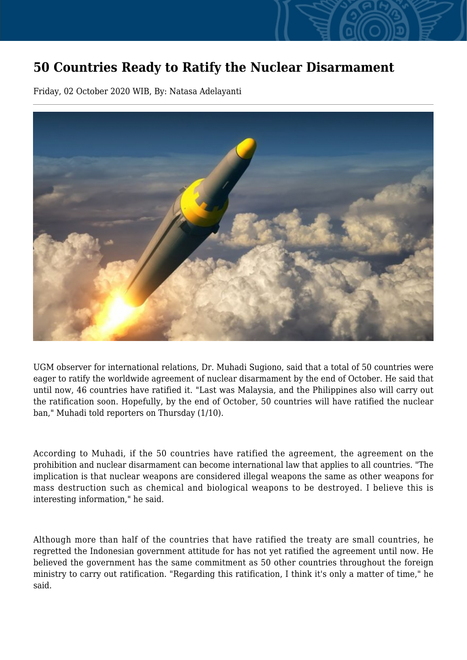## **50 Countries Ready to Ratify the Nuclear Disarmament**

Friday, 02 October 2020 WIB, By: Natasa Adelayanti



UGM observer for international relations, Dr. Muhadi Sugiono, said that a total of 50 countries were eager to ratify the worldwide agreement of nuclear disarmament by the end of October. He said that until now, 46 countries have ratified it. "Last was Malaysia, and the Philippines also will carry out the ratification soon. Hopefully, by the end of October, 50 countries will have ratified the nuclear ban," Muhadi told reporters on Thursday (1/10).

According to Muhadi, if the 50 countries have ratified the agreement, the agreement on the prohibition and nuclear disarmament can become international law that applies to all countries. "The implication is that nuclear weapons are considered illegal weapons the same as other weapons for mass destruction such as chemical and biological weapons to be destroyed. I believe this is interesting information," he said.

Although more than half of the countries that have ratified the treaty are small countries, he regretted the Indonesian government attitude for has not yet ratified the agreement until now. He believed the government has the same commitment as 50 other countries throughout the foreign ministry to carry out ratification. "Regarding this ratification, I think it's only a matter of time," he said.